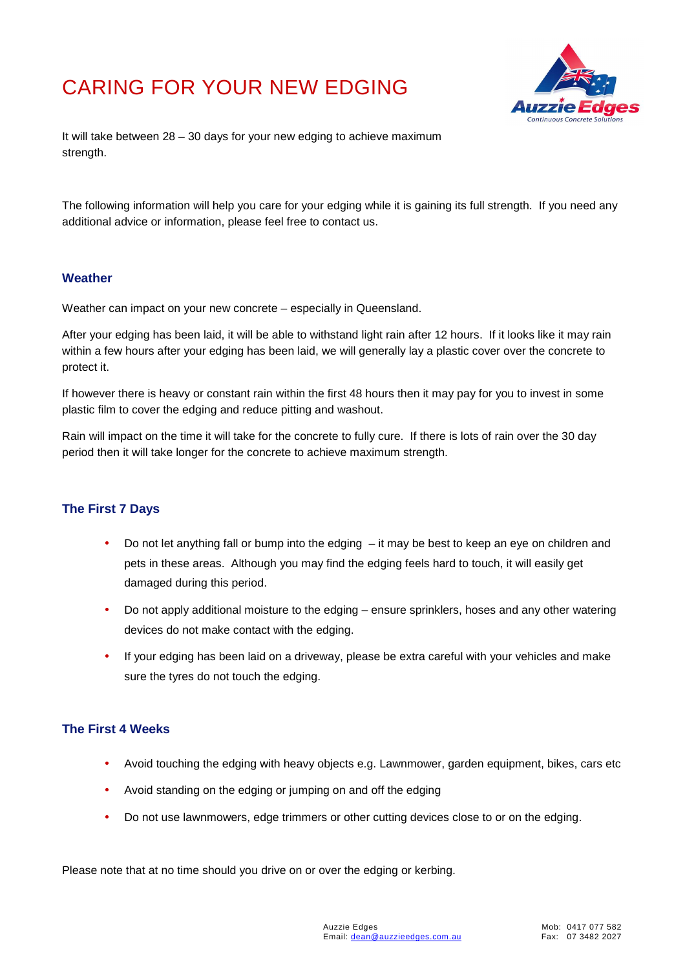# CARING FOR YOUR NEW EDGING



It will take between 28 – 30 days for your new edging to achieve maximum strength.

The following information will help you care for your edging while it is gaining its full strength. If you need any additional advice or information, please feel free to contact us.

### **Weather**

Weather can impact on your new concrete – especially in Queensland.

After your edging has been laid, it will be able to withstand light rain after 12 hours. If it looks like it may rain within a few hours after your edging has been laid, we will generally lay a plastic cover over the concrete to protect it.

If however there is heavy or constant rain within the first 48 hours then it may pay for you to invest in some plastic film to cover the edging and reduce pitting and washout.

Rain will impact on the time it will take for the concrete to fully cure. If there is lots of rain over the 30 day period then it will take longer for the concrete to achieve maximum strength.

### **The First 7 Days**

- Do not let anything fall or bump into the edging  $-$  it may be best to keep an eye on children and pets in these areas. Although you may find the edging feels hard to touch, it will easily get damaged during this period.
- Do not apply additional moisture to the edging ensure sprinklers, hoses and any other watering devices do not make contact with the edging.
- If your edging has been laid on a driveway, please be extra careful with your vehicles and make sure the tyres do not touch the edging.

#### **The First 4 Weeks**

- Avoid touching the edging with heavy objects e.g. Lawnmower, garden equipment, bikes, cars etc
- Avoid standing on the edging or jumping on and off the edging
- Do not use lawnmowers, edge trimmers or other cutting devices close to or on the edging.

Please note that at no time should you drive on or over the edging or kerbing.